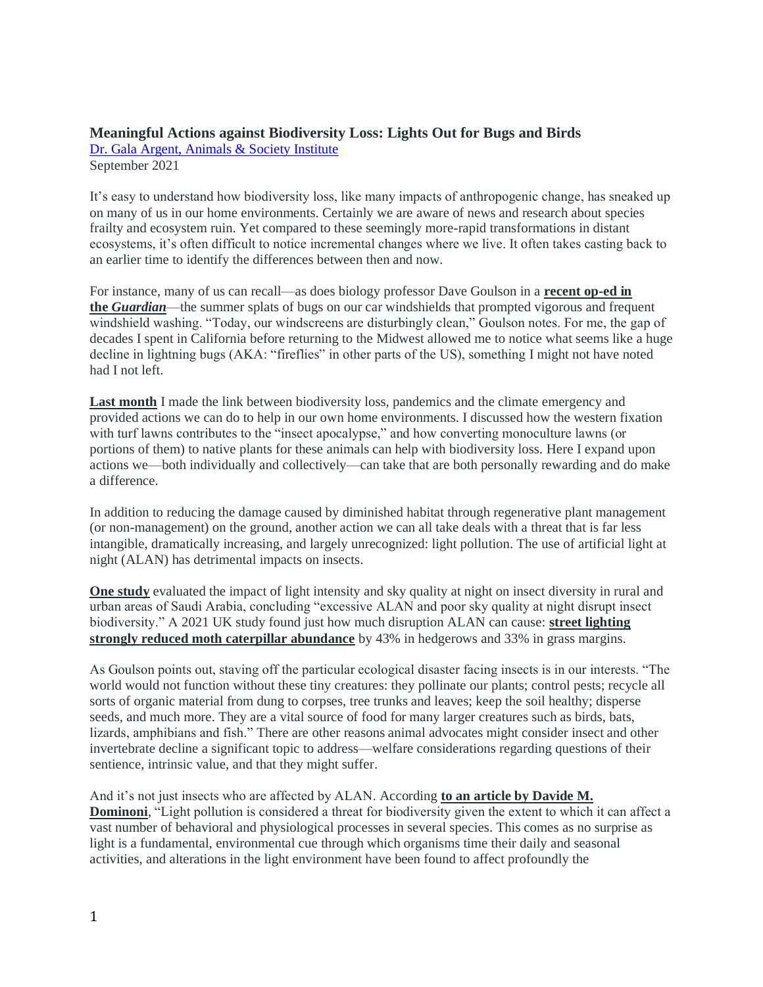# **Meaningful Actions against Biodiversity Loss: Lights Out for Bugs and Birds**

[Dr. Gala Argent, Animals & Society Institute](https://www.animalsandsociety.org/) September 2021

It's easy to understand how biodiversity loss, like many impacts of anthropogenic change, has sneaked up on many of us in our home environments. Certainly we are aware of news and research about species frailty and ecosystem ruin. Yet compared to these seemingly more-rapid transformations in distant ecosystems, it's often difficult to notice incremental changes where we live. It often takes casting back to an earlier time to identify the differences between then and now.

For instance, many of us can recall—as does biology professor Dave Goulson in a **[recent op-ed in](https://r20.rs6.net/tn.jsp?f=001VFmzVlc--xQzWWwVpIiBnHrvD6UjYYvXpBZd42RRc43uYyigdKA8jUeVeuuU5wReM7W0jkbWnp4CfTjxQNUVur3vZZ5X7i7DHifFX-epjfBz1--tMw78mJ9wM4pW7kd9BR-piapp-EkQGE6SMudiojRndwNvK4NXhAQhNjdTIOg51aNEcmHO3Ro-s2DbrGEmXJLCHXL2uD3ZSf6naYLI33yzxrKCLEk-QNJ-7bQ16GQ=&c=AytJUrvjLekI_Psrhns1WVPLU783xZGBht-mJq_HpvlXqi7u2wCTHA==&ch=2lVpZn6PHa-aE-KasEsfZeKtXoKBOGlKWxauo-Nb3ZJoClJuDok8ng==)  [the](https://r20.rs6.net/tn.jsp?f=001VFmzVlc--xQzWWwVpIiBnHrvD6UjYYvXpBZd42RRc43uYyigdKA8jUeVeuuU5wReM7W0jkbWnp4CfTjxQNUVur3vZZ5X7i7DHifFX-epjfBz1--tMw78mJ9wM4pW7kd9BR-piapp-EkQGE6SMudiojRndwNvK4NXhAQhNjdTIOg51aNEcmHO3Ro-s2DbrGEmXJLCHXL2uD3ZSf6naYLI33yzxrKCLEk-QNJ-7bQ16GQ=&c=AytJUrvjLekI_Psrhns1WVPLU783xZGBht-mJq_HpvlXqi7u2wCTHA==&ch=2lVpZn6PHa-aE-KasEsfZeKtXoKBOGlKWxauo-Nb3ZJoClJuDok8ng==)** *[Guardian](https://r20.rs6.net/tn.jsp?f=001VFmzVlc--xQzWWwVpIiBnHrvD6UjYYvXpBZd42RRc43uYyigdKA8jUeVeuuU5wReM7W0jkbWnp4CfTjxQNUVur3vZZ5X7i7DHifFX-epjfBz1--tMw78mJ9wM4pW7kd9BR-piapp-EkQGE6SMudiojRndwNvK4NXhAQhNjdTIOg51aNEcmHO3Ro-s2DbrGEmXJLCHXL2uD3ZSf6naYLI33yzxrKCLEk-QNJ-7bQ16GQ=&c=AytJUrvjLekI_Psrhns1WVPLU783xZGBht-mJq_HpvlXqi7u2wCTHA==&ch=2lVpZn6PHa-aE-KasEsfZeKtXoKBOGlKWxauo-Nb3ZJoClJuDok8ng==)*—the summer splats of bugs on our car windshields that prompted vigorous and frequent windshield washing. "Today, our windscreens are disturbingly clean," Goulson notes. For me, the gap of decades I spent in California before returning to the Midwest allowed me to notice what seems like a huge decline in lightning bugs (AKA: "fireflies" in other parts of the US), something I might not have noted had I not left.

**[Last month](https://r20.rs6.net/tn.jsp?f=001VFmzVlc--xQzWWwVpIiBnHrvD6UjYYvXpBZd42RRc43uYyigdKA8jUeVeuuU5wReabDb4smDrK1mpRwsqOfb2GFnAUjkw7eAAh8q_op2m3wskHKb1ov0Ae-Hf4io96K4fyDwm0xzwaMH_tCS1TWVUg==&c=AytJUrvjLekI_Psrhns1WVPLU783xZGBht-mJq_HpvlXqi7u2wCTHA==&ch=2lVpZn6PHa-aE-KasEsfZeKtXoKBOGlKWxauo-Nb3ZJoClJuDok8ng==)** I made the link between biodiversity loss, pandemics and the climate emergency and provided actions we can do to help in our own home environments. I discussed how the western fixation with turf lawns contributes to the "insect apocalypse," and how converting monoculture lawns (or portions of them) to native plants for these animals can help with biodiversity loss. Here I expand upon actions we—both individually and collectively—can take that are both personally rewarding and do make a difference.

In addition to reducing the damage caused by diminished habitat through regenerative plant management (or non-management) on the ground, another action we can all take deals with a threat that is far less intangible, dramatically increasing, and largely unrecognized: light pollution. The use of artificial light at night (ALAN) has detrimental impacts on insects.

**[One study](https://r20.rs6.net/tn.jsp?f=001VFmzVlc--xQzWWwVpIiBnHrvD6UjYYvXpBZd42RRc43uYyigdKA8jUeVeuuU5wRe_Lz9sLcIMBEVLzVC3ENQ922jCKGJHfWcfbDJPJl1oM99BkZ6bG5NeEJlNvf33Uj-k9OVho3RLSbT4kSRQAGfWDqZnWLV3e4i7N9Lj61VFzqXVYfQgIthu5AURbUJlrZE6DISNG8ZcQB6l45f5ysy3Hk17hlJ0n99&c=AytJUrvjLekI_Psrhns1WVPLU783xZGBht-mJq_HpvlXqi7u2wCTHA==&ch=2lVpZn6PHa-aE-KasEsfZeKtXoKBOGlKWxauo-Nb3ZJoClJuDok8ng==)** evaluated the impact of light intensity and sky quality at night on insect diversity in rural and urban areas of Saudi Arabia, concluding "excessive ALAN and poor sky quality at night disrupt insect biodiversity." A 2021 UK study found just how much disruption ALAN can cause: **[street lighting](https://r20.rs6.net/tn.jsp?f=001VFmzVlc--xQzWWwVpIiBnHrvD6UjYYvXpBZd42RRc43uYyigdKA8jUeVeuuU5wResQ9hq5opu2rmpgWrW73evxVyxQM7XOAW8BshBCn9GqVYnXtE2oJxNIFCN0sI9efejNB9zEyPzPzXhFEsQcxZuevzXOf9jf07wkxkrQ6RYkirJ5vi5F6FWw==&c=AytJUrvjLekI_Psrhns1WVPLU783xZGBht-mJq_HpvlXqi7u2wCTHA==&ch=2lVpZn6PHa-aE-KasEsfZeKtXoKBOGlKWxauo-Nb3ZJoClJuDok8ng==)  [strongly reduced moth caterpillar abundance](https://r20.rs6.net/tn.jsp?f=001VFmzVlc--xQzWWwVpIiBnHrvD6UjYYvXpBZd42RRc43uYyigdKA8jUeVeuuU5wResQ9hq5opu2rmpgWrW73evxVyxQM7XOAW8BshBCn9GqVYnXtE2oJxNIFCN0sI9efejNB9zEyPzPzXhFEsQcxZuevzXOf9jf07wkxkrQ6RYkirJ5vi5F6FWw==&c=AytJUrvjLekI_Psrhns1WVPLU783xZGBht-mJq_HpvlXqi7u2wCTHA==&ch=2lVpZn6PHa-aE-KasEsfZeKtXoKBOGlKWxauo-Nb3ZJoClJuDok8ng==)** by 43% in hedgerows and 33% in grass margins.

As Goulson points out, staving off the particular ecological disaster facing insects is in our interests. "The world would not function without these tiny creatures: they pollinate our plants; control pests; recycle all sorts of organic material from dung to corpses, tree trunks and leaves; keep the soil healthy; disperse seeds, and much more. They are a vital source of food for many larger creatures such as birds, bats, lizards, amphibians and fish." There are other reasons animal advocates might consider insect and other invertebrate decline a significant topic to address—welfare considerations regarding questions of their sentience, intrinsic value, and that they might suffer.

And it's not just insects who are affected by ALAN. According **[to an article by Davide M.](https://r20.rs6.net/tn.jsp?f=001VFmzVlc--xQzWWwVpIiBnHrvD6UjYYvXpBZd42RRc43uYyigdKA8jUeVeuuU5wReURZpwMJjuTLSaTSo2x40szkV4AEd_T-OacyGUJrmMIFOlfwp82eZrNs98NlkawhPyzHOcIVzvnhCWnh5USavTGC_UIoOi56C_QkjdFLFVzI7Y0Acdzqgg86WGACmeevlO99nS4hbCC8=&c=AytJUrvjLekI_Psrhns1WVPLU783xZGBht-mJq_HpvlXqi7u2wCTHA==&ch=2lVpZn6PHa-aE-KasEsfZeKtXoKBOGlKWxauo-Nb3ZJoClJuDok8ng==)  [Dominoni](https://r20.rs6.net/tn.jsp?f=001VFmzVlc--xQzWWwVpIiBnHrvD6UjYYvXpBZd42RRc43uYyigdKA8jUeVeuuU5wReURZpwMJjuTLSaTSo2x40szkV4AEd_T-OacyGUJrmMIFOlfwp82eZrNs98NlkawhPyzHOcIVzvnhCWnh5USavTGC_UIoOi56C_QkjdFLFVzI7Y0Acdzqgg86WGACmeevlO99nS4hbCC8=&c=AytJUrvjLekI_Psrhns1WVPLU783xZGBht-mJq_HpvlXqi7u2wCTHA==&ch=2lVpZn6PHa-aE-KasEsfZeKtXoKBOGlKWxauo-Nb3ZJoClJuDok8ng==)**, "Light pollution is considered a threat for biodiversity given the extent to which it can affect a vast number of behavioral and physiological processes in several species. This comes as no surprise as light is a fundamental, environmental cue through which organisms time their daily and seasonal activities, and alterations in the light environment have been found to affect profoundly the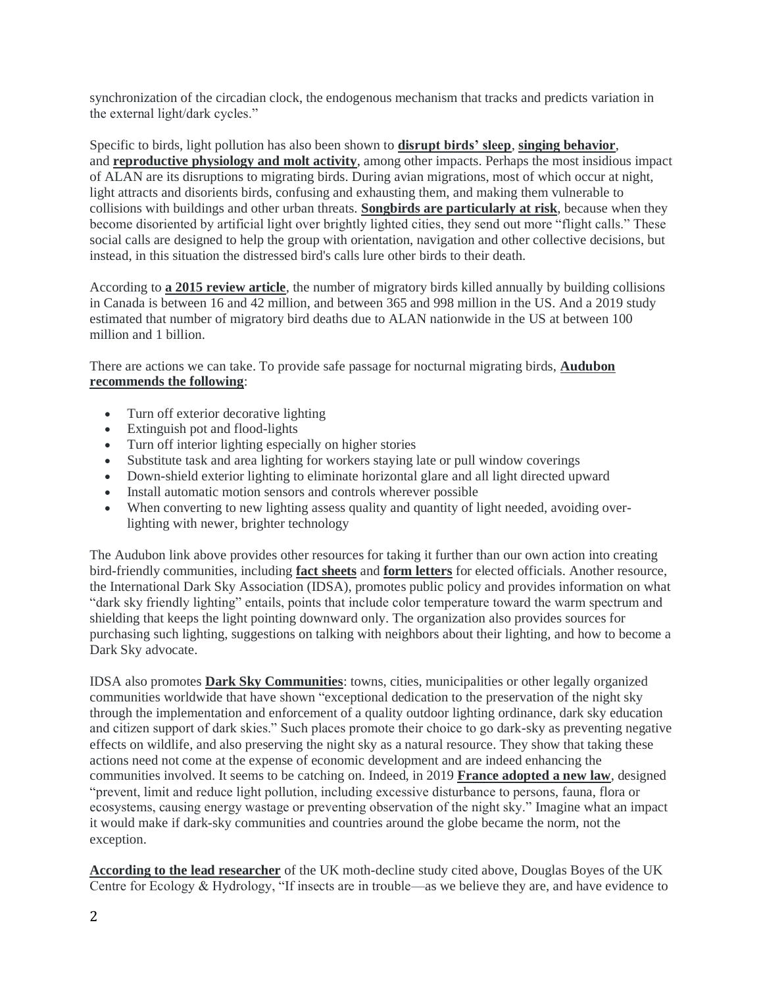synchronization of the circadian clock, the endogenous mechanism that tracks and predicts variation in the external light/dark cycles."

Specific to birds, light pollution has also been shown to **[disrupt birds' sleep](https://r20.rs6.net/tn.jsp?f=001VFmzVlc--xQzWWwVpIiBnHrvD6UjYYvXpBZd42RRc43uYyigdKA8jUeVeuuU5wRe00xQY-CEGu2fxKuy7g4apsTsUrDVr6UJz4fMTjZdT2sz4bEdgmCy37SlieLT5Ool-xAJMxS4tDEyJ5ZLQyBi9rgUkUQfBQwyScRENpxV_C-QtcDJe4homyLzoaRe15XeR73Spm-dcskA771jyoz3-cHmSOSTibl_&c=AytJUrvjLekI_Psrhns1WVPLU783xZGBht-mJq_HpvlXqi7u2wCTHA==&ch=2lVpZn6PHa-aE-KasEsfZeKtXoKBOGlKWxauo-Nb3ZJoClJuDok8ng==)**, **[singing behavior](https://r20.rs6.net/tn.jsp?f=001VFmzVlc--xQzWWwVpIiBnHrvD6UjYYvXpBZd42RRc43uYyigdKA8jUeVeuuU5wRet_CG7FIok3H9qEl5nY31WcsXgcEIksPB0Zr2rJ8ii_W-1COFdPG6XKwYhWDfmgXniEX_hflaIf1-uk91rl6F9osgixyMcAFery6T9aCWhVhdPCZYD-UhzgIc1E2H86hEc7WdGwDjT9DAu7jCjdJfvnXjrbt-CORv&c=AytJUrvjLekI_Psrhns1WVPLU783xZGBht-mJq_HpvlXqi7u2wCTHA==&ch=2lVpZn6PHa-aE-KasEsfZeKtXoKBOGlKWxauo-Nb3ZJoClJuDok8ng==)**, and **[reproductive physiology and molt activity](https://r20.rs6.net/tn.jsp?f=001VFmzVlc--xQzWWwVpIiBnHrvD6UjYYvXpBZd42RRc43uYyigdKA8jUeVeuuU5wRe3l_YryopySwMERzn3eTsc1fQkeiARKnRn61q57QsYIBeerqf5L5FE2wMeNigCVSclWmczp_xe-F2EbTYaVj6Oan9JrChWRMCW8BbW6o9r7tGRZvzA-IZDw-EyvcnNsHGM--QucRTEGW8YyYGsAakFM5VQS6cjWFT&c=AytJUrvjLekI_Psrhns1WVPLU783xZGBht-mJq_HpvlXqi7u2wCTHA==&ch=2lVpZn6PHa-aE-KasEsfZeKtXoKBOGlKWxauo-Nb3ZJoClJuDok8ng==)**, among other impacts. Perhaps the most insidious impact of ALAN are its disruptions to migrating birds. During avian migrations, most of which occur at night, light attracts and disorients birds, confusing and exhausting them, and making them vulnerable to collisions with buildings and other urban threats. **[Songbirds are particularly at risk](https://r20.rs6.net/tn.jsp?f=001VFmzVlc--xQzWWwVpIiBnHrvD6UjYYvXpBZd42RRc43uYyigdKA8jUeVeuuU5wReJgESuEugsB49eercnfK1tbo4zEG_JLibGNGMJ7PC3l9MU8l492lyU9ggcX-Ucjki6iiW-4sMHu-p0l400AKLxNu0gsXssiMyEu4oyYaORXsxjElkWzd_k8x5ld30qcdHoBtFNXLSXqK-FQ090W4ebjW8xEqmMQcmfjBTJkBqcuNEEpzWpeENdI5UmYQ3_BVSVKl0CVnTRc8=&c=AytJUrvjLekI_Psrhns1WVPLU783xZGBht-mJq_HpvlXqi7u2wCTHA==&ch=2lVpZn6PHa-aE-KasEsfZeKtXoKBOGlKWxauo-Nb3ZJoClJuDok8ng==)**, because when they become disoriented by artificial light over brightly lighted cities, they send out more "flight calls." These social calls are designed to help the group with orientation, navigation and other collective decisions, but instead, in this situation the distressed bird's calls lure other birds to their death.

According to **[a 2015 review article](https://r20.rs6.net/tn.jsp?f=001VFmzVlc--xQzWWwVpIiBnHrvD6UjYYvXpBZd42RRc43uYyigdKA8jUeVeuuU5wRemP59plxaGRWYIs4mrDa-UYR_lH2-P3M8yexBqviZsJ095o11mSjzcpA0AeG3koYHznCsm9fLwbtEtuZNeDjgRw0fZ_1QuLLyImw4e0RM5kSFlvrGvFpGtVgCl5nXCGbaJCTFVZKnvclmDqa43t_xPj8_3g6gnvNX8Ri1BeSn5LszRRd8Tl7In_IpOckfDFK7Wk-qC2yC8ZKrfZlne_qt9_8ibum-RtVo&c=AytJUrvjLekI_Psrhns1WVPLU783xZGBht-mJq_HpvlXqi7u2wCTHA==&ch=2lVpZn6PHa-aE-KasEsfZeKtXoKBOGlKWxauo-Nb3ZJoClJuDok8ng==)**, the number of migratory birds killed annually by building collisions in Canada is between 16 and 42 million, and between 365 and 998 million in the US. And a 2019 study estimated that number of migratory bird deaths due to ALAN nationwide in the US at between 100 million and 1 billion.

There are actions we can take. To provide safe passage for nocturnal migrating birds, **[Audubon](https://r20.rs6.net/tn.jsp?f=001VFmzVlc--xQzWWwVpIiBnHrvD6UjYYvXpBZd42RRc43uYyigdKA8jUeVeuuU5wReQhJzgHY1O3KTKUlXdAFon1Wt5iAfAdf5cMI7Zjs4gY1dx8_sMYRjCvqPIqwNguPDv--TfLaAAr5qEpPIWxl6BNecF9XW-_e1X0Rcj7aD5jY=&c=AytJUrvjLekI_Psrhns1WVPLU783xZGBht-mJq_HpvlXqi7u2wCTHA==&ch=2lVpZn6PHa-aE-KasEsfZeKtXoKBOGlKWxauo-Nb3ZJoClJuDok8ng==)  [recommends the following](https://r20.rs6.net/tn.jsp?f=001VFmzVlc--xQzWWwVpIiBnHrvD6UjYYvXpBZd42RRc43uYyigdKA8jUeVeuuU5wReQhJzgHY1O3KTKUlXdAFon1Wt5iAfAdf5cMI7Zjs4gY1dx8_sMYRjCvqPIqwNguPDv--TfLaAAr5qEpPIWxl6BNecF9XW-_e1X0Rcj7aD5jY=&c=AytJUrvjLekI_Psrhns1WVPLU783xZGBht-mJq_HpvlXqi7u2wCTHA==&ch=2lVpZn6PHa-aE-KasEsfZeKtXoKBOGlKWxauo-Nb3ZJoClJuDok8ng==)**:

- Turn off exterior decorative lighting
- Extinguish pot and flood-lights
- Turn off interior lighting especially on higher stories
- Substitute task and area lighting for workers staying late or pull window coverings
- Down-shield exterior lighting to eliminate horizontal glare and all light directed upward
- Install automatic motion sensors and controls wherever possible
- When converting to new lighting assess quality and quantity of light needed, avoiding overlighting with newer, brighter technology

The Audubon link above provides other resources for taking it further than our own action into creating bird-friendly communities, including **[fact sheets](https://r20.rs6.net/tn.jsp?f=001VFmzVlc--xQzWWwVpIiBnHrvD6UjYYvXpBZd42RRc43uYyigdKA8jUeVeuuU5wRe9mCS93rkcyqj-J6zAzgNAp8e2nELfEVh1w-6uGe8x9VSeX5BZJBcrP9ExfR2Pi68IQKIxqwu5_ZTJGXaQ3JLg1f1yXzTczpDnLhjF1G5-_Enb3lEJCLQmulqS_z4H9srTlBgrwx93h_zwDY_oCv14Q==&c=AytJUrvjLekI_Psrhns1WVPLU783xZGBht-mJq_HpvlXqi7u2wCTHA==&ch=2lVpZn6PHa-aE-KasEsfZeKtXoKBOGlKWxauo-Nb3ZJoClJuDok8ng==)** and **[form letters](https://r20.rs6.net/tn.jsp?f=001VFmzVlc--xQzWWwVpIiBnHrvD6UjYYvXpBZd42RRc43uYyigdKA8jUeVeuuU5wReP8GD5qtuaWglribdK_l1S-2xDsdbSeviEIEIeaSJ_HvK1zTpldWSJas-ez8WrQhYAhRQMy0u1PZ5zv6Rx3o71sGtcl2VogYG8y7tieHtsz5qA0Vs2jHUxucYE5PZzhVqY7qCv1ZhF8bFsn1EqmGz2dO9SC8X1b1AMwVxiKt4zIs=&c=AytJUrvjLekI_Psrhns1WVPLU783xZGBht-mJq_HpvlXqi7u2wCTHA==&ch=2lVpZn6PHa-aE-KasEsfZeKtXoKBOGlKWxauo-Nb3ZJoClJuDok8ng==)** for elected officials. Another resource, the International Dark Sky Association (IDSA), promotes public policy and provides information on what "dark sky friendly lighting" entails, points that include color temperature toward the warm spectrum and shielding that keeps the light pointing downward only. The organization also provides sources for purchasing such lighting, suggestions on talking with neighbors about their lighting, and how to become a Dark Sky advocate.

IDSA also promotes **[Dark Sky Communities](https://r20.rs6.net/tn.jsp?f=001VFmzVlc--xQzWWwVpIiBnHrvD6UjYYvXpBZd42RRc43uYyigdKA8jUeVeuuU5wRezcxjezinBMk5AJJJy1v3EfcmA9JJ1ClNh61peBLMxSgVo0XOWdyGsIA0CAFO_JM0-0_tb8EpOTiF-_xeKTMZmkvqtIdb3oLmnKtGCl1hkAoqZ26LOdVDTLD--alDTSDRyE2kAfHC4qyeUKA6Q24Gqw==&c=AytJUrvjLekI_Psrhns1WVPLU783xZGBht-mJq_HpvlXqi7u2wCTHA==&ch=2lVpZn6PHa-aE-KasEsfZeKtXoKBOGlKWxauo-Nb3ZJoClJuDok8ng==)**: towns, cities, municipalities or other legally organized communities worldwide that have shown "exceptional dedication to the preservation of the night sky through the implementation and enforcement of a quality outdoor lighting ordinance, dark sky education and citizen support of dark skies." Such places promote their choice to go dark-sky as preventing negative effects on wildlife, and also preserving the night sky as a natural resource. They show that taking these actions need not come at the expense of economic development and are indeed enhancing the communities involved. It seems to be catching on. Indeed, in 2019 **[France adopted a new law](https://r20.rs6.net/tn.jsp?f=001VFmzVlc--xQzWWwVpIiBnHrvD6UjYYvXpBZd42RRc43uYyigdKA8jUeVeuuU5wReHvrYJL6lNneynGcmxEtcbfEfe_dIW8pGu3HL_0yS0CGnNZurpNeCeCkApNuqgpa4mADcBZD5OXOkSrchnsF4X1id4G3wS8poAbFtNlKQcYftXo_xbQpUz14mVHvvwpB3&c=AytJUrvjLekI_Psrhns1WVPLU783xZGBht-mJq_HpvlXqi7u2wCTHA==&ch=2lVpZn6PHa-aE-KasEsfZeKtXoKBOGlKWxauo-Nb3ZJoClJuDok8ng==)**, designed "prevent, limit and reduce light pollution, including excessive disturbance to persons, fauna, flora or ecosystems, causing energy wastage or preventing observation of the night sky." Imagine what an impact it would make if dark-sky communities and countries around the globe became the norm, not the exception.

**[According to the lead researcher](https://r20.rs6.net/tn.jsp?f=001VFmzVlc--xQzWWwVpIiBnHrvD6UjYYvXpBZd42RRc43uYyigdKA8jUeVeuuU5wRe416DPPtf6J9pbWyrZLNRWiE83K2Ai__LGS53ZBs21hgV7JPAQtPGxQ-N3pXk1wHYMrS1bHkbA_9gnAms7Sewo7azhUpmpcGK78GwA9741H9oVPR9TuIyx8Cwqa0tX_VV&c=AytJUrvjLekI_Psrhns1WVPLU783xZGBht-mJq_HpvlXqi7u2wCTHA==&ch=2lVpZn6PHa-aE-KasEsfZeKtXoKBOGlKWxauo-Nb3ZJoClJuDok8ng==)** of the UK moth-decline study cited above, Douglas Boyes of the UK Centre for Ecology & Hydrology, "If insects are in trouble—as we believe they are, and have evidence to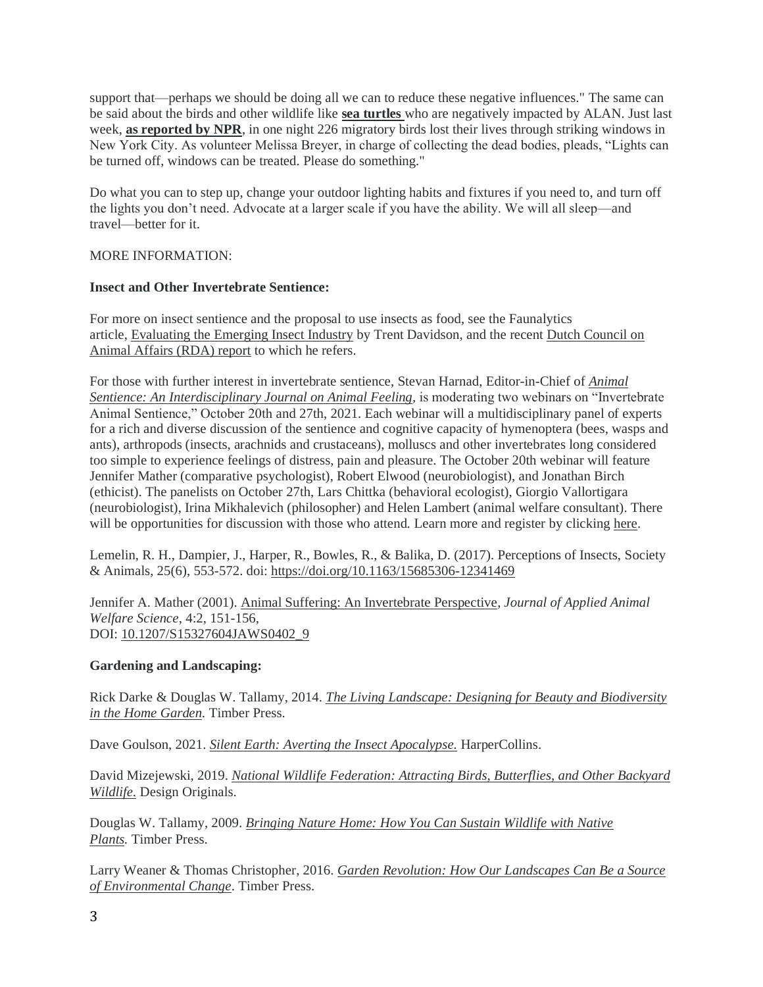support that—perhaps we should be doing all we can to reduce these negative influences." The same can be said about the birds and other wildlife like **[sea turtles](https://r20.rs6.net/tn.jsp?f=001VFmzVlc--xQzWWwVpIiBnHrvD6UjYYvXpBZd42RRc43uYyigdKA8jUeVeuuU5wReSQ0gwe_tUEnn44y8gDiqLCa-Lz7I2aCb7-DuijeZVZlhIazFq8Dfvosq8M5bnWZU9lFx0zHqxIPY9aavHKLgo4AkvVB0EiTnDqXGuu6VfaVRNqnKk4xiMTGR5dySh1wYVPDUt_O5UIw7BV04FlzQ06Fqz3yoV5B9&c=AytJUrvjLekI_Psrhns1WVPLU783xZGBht-mJq_HpvlXqi7u2wCTHA==&ch=2lVpZn6PHa-aE-KasEsfZeKtXoKBOGlKWxauo-Nb3ZJoClJuDok8ng==)** who are negatively impacted by ALAN. Just last week, **[as reported by NPR](https://r20.rs6.net/tn.jsp?f=001VFmzVlc--xQzWWwVpIiBnHrvD6UjYYvXpBZd42RRc43uYyigdKA8jUeVeuuU5wRebviWVmkffGmAZqXX7uuiWdPgZwemXvjl0v1p-tlZeSMbfDvDc7nNLbj6tsXstgze1ZX6LCoy3JIlzJJTSBY_nSNJh0M-NIE1hQh36y8itPfinWJwYKXgXlOwnBXWINyz_O_vYzbQjDg=&c=AytJUrvjLekI_Psrhns1WVPLU783xZGBht-mJq_HpvlXqi7u2wCTHA==&ch=2lVpZn6PHa-aE-KasEsfZeKtXoKBOGlKWxauo-Nb3ZJoClJuDok8ng==)**, in one night 226 migratory birds lost their lives through striking windows in New York City. As volunteer Melissa Breyer, in charge of collecting the dead bodies, pleads, "Lights can be turned off, windows can be treated. Please do something."

Do what you can to step up, change your outdoor lighting habits and fixtures if you need to, and turn off the lights you don't need. Advocate at a larger scale if you have the ability. We will all sleep—and travel—better for it.

## MORE INFORMATION:

## **Insect and Other Invertebrate Sentience:**

For more on insect sentience and the proposal to use insects as food, see the Faunalytics article, [Evaluating the Emerging Insect Industry](https://r20.rs6.net/tn.jsp?f=001VFmzVlc--xQzWWwVpIiBnHrvD6UjYYvXpBZd42RRc43uYyigdKA8jUeVeuuU5wReHKm7BsCKcs_q_eznZ_7uvlRAyB_S1VNpZHz2Z2eBIvm8tn-S0KSH9-Irig__pXha7T1jTtM23F6tJ4rGikQl0ypFiqnWfxGJrk9kI0Wc01-C_nSn-6-0UO-D3liO4C7EzGT6aN5EnjE=&c=AytJUrvjLekI_Psrhns1WVPLU783xZGBht-mJq_HpvlXqi7u2wCTHA==&ch=2lVpZn6PHa-aE-KasEsfZeKtXoKBOGlKWxauo-Nb3ZJoClJuDok8ng==) by Trent Davidson, and the recent [Dutch Council on](https://r20.rs6.net/tn.jsp?f=001VFmzVlc--xQzWWwVpIiBnHrvD6UjYYvXpBZd42RRc43uYyigdKA8jUeVeuuU5wReMZAqQyraQiwmemJAzkyNBkFCDONAjfYUKgAK9FUpnE8alWjLwR-kGZGpetKKAc9bYMtP_HneSMSGyY70iOzdo4F0r5iPUZObv_oogkSyeGUEkIia1zj5kx2PWPIF6ElFljCrdFfDxuRuBD0De4epZXdo8MSVnI10xq40DvWthofge5Y_1VpcFw==&c=AytJUrvjLekI_Psrhns1WVPLU783xZGBht-mJq_HpvlXqi7u2wCTHA==&ch=2lVpZn6PHa-aE-KasEsfZeKtXoKBOGlKWxauo-Nb3ZJoClJuDok8ng==)  [Animal Affairs \(RDA\) report](https://r20.rs6.net/tn.jsp?f=001VFmzVlc--xQzWWwVpIiBnHrvD6UjYYvXpBZd42RRc43uYyigdKA8jUeVeuuU5wReMZAqQyraQiwmemJAzkyNBkFCDONAjfYUKgAK9FUpnE8alWjLwR-kGZGpetKKAc9bYMtP_HneSMSGyY70iOzdo4F0r5iPUZObv_oogkSyeGUEkIia1zj5kx2PWPIF6ElFljCrdFfDxuRuBD0De4epZXdo8MSVnI10xq40DvWthofge5Y_1VpcFw==&c=AytJUrvjLekI_Psrhns1WVPLU783xZGBht-mJq_HpvlXqi7u2wCTHA==&ch=2lVpZn6PHa-aE-KasEsfZeKtXoKBOGlKWxauo-Nb3ZJoClJuDok8ng==) to which he refers.

For those with further interest in invertebrate sentience, Stevan Harnad, Editor-in-Chief of *[Animal](https://r20.rs6.net/tn.jsp?f=001VFmzVlc--xQzWWwVpIiBnHrvD6UjYYvXpBZd42RRc43uYyigdKA8jUeVeuuU5wRee-0LLuZJOLkdLtT5fWv2zMR_1vbqNDptbAl6dxQdt-pPA-W6yb5lo_8Fq0nfP2OwLh-wtOcXAB6d3LttqyQzok37VKmB1WAhl9xcNMgpuMIOIVA_aM9fdFXcmE6s29B1&c=AytJUrvjLekI_Psrhns1WVPLU783xZGBht-mJq_HpvlXqi7u2wCTHA==&ch=2lVpZn6PHa-aE-KasEsfZeKtXoKBOGlKWxauo-Nb3ZJoClJuDok8ng==)  [Sentience: An Interdisciplinary Journal on Animal Feeling,](https://r20.rs6.net/tn.jsp?f=001VFmzVlc--xQzWWwVpIiBnHrvD6UjYYvXpBZd42RRc43uYyigdKA8jUeVeuuU5wRee-0LLuZJOLkdLtT5fWv2zMR_1vbqNDptbAl6dxQdt-pPA-W6yb5lo_8Fq0nfP2OwLh-wtOcXAB6d3LttqyQzok37VKmB1WAhl9xcNMgpuMIOIVA_aM9fdFXcmE6s29B1&c=AytJUrvjLekI_Psrhns1WVPLU783xZGBht-mJq_HpvlXqi7u2wCTHA==&ch=2lVpZn6PHa-aE-KasEsfZeKtXoKBOGlKWxauo-Nb3ZJoClJuDok8ng==)* is moderating two webinars on "Invertebrate Animal Sentience," October 20th and 27th, 2021. Each webinar will a multidisciplinary panel of experts for a rich and diverse discussion of the sentience and cognitive capacity of hymenoptera (bees, wasps and ants), arthropods (insects, arachnids and crustaceans), molluscs and other invertebrates long considered too simple to experience feelings of distress, pain and pleasure. The October 20th webinar will feature Jennifer Mather (comparative psychologist), Robert Elwood (neurobiologist), and Jonathan Birch (ethicist). The panelists on October 27th, Lars Chittka (behavioral ecologist), Giorgio Vallortigara (neurobiologist), Irina Mikhalevich (philosopher) and Helen Lambert (animal welfare consultant). There will be opportunities for discussion with those who attend. Learn more and register by clicking [here.](https://r20.rs6.net/tn.jsp?f=001VFmzVlc--xQzWWwVpIiBnHrvD6UjYYvXpBZd42RRc43uYyigdKA8jUeVeuuU5wRedCSenCqm1SUhkxi67vdnzhwQDRGD_UBB5t7W5_QaLrJe51YPl9FI9vtQGRpT0hnX7ti3R58Ds3THp7rE-dZOPH6SLiHikyX_FYEWlygyowX5f_8IS2DRrUJaHZUqx26AfkB6feDY8Dgbjswix7eKLjIDjuc5Vd4luZ0g9LDnPf8IeM1liHYZjEFkerS4t0xWQbU_XPRpMO5ovxEp4wSgbQ==&c=AytJUrvjLekI_Psrhns1WVPLU783xZGBht-mJq_HpvlXqi7u2wCTHA==&ch=2lVpZn6PHa-aE-KasEsfZeKtXoKBOGlKWxauo-Nb3ZJoClJuDok8ng==)

Lemelin, R. H., Dampier, J., Harper, R., Bowles, R., & Balika, D. (2017). Perceptions of Insects, Society & Animals, 25(6), 553-572. doi: [https://doi.org/10.1163/15685306-12341469](https://r20.rs6.net/tn.jsp?f=001VFmzVlc--xQzWWwVpIiBnHrvD6UjYYvXpBZd42RRc43uYyigdKA8jUeVeuuU5wRew4YElcSIRuuNgWwtvpCMymXLmSueAI9JQD8ynM2ZOB_iJQUkcr2421bi3RWTVlG5UC1J3NUEBWALIC8pFEK4I4AtGlPWv1zN583S5EMBiyk=&c=AytJUrvjLekI_Psrhns1WVPLU783xZGBht-mJq_HpvlXqi7u2wCTHA==&ch=2lVpZn6PHa-aE-KasEsfZeKtXoKBOGlKWxauo-Nb3ZJoClJuDok8ng==)

Jennifer A. Mather (2001). [Animal Suffering: An Invertebrate Perspective,](https://r20.rs6.net/tn.jsp?f=001VFmzVlc--xQzWWwVpIiBnHrvD6UjYYvXpBZd42RRc43uYyigdKA8jUeVeuuU5wReKmNnhy-cIHeBg8F6dmzwc0O2AyyRRrX3krKRPV4VVa34Zot-LcUnlZXOPcgmHYHhm2bn1iKWqt1YgMCDFzsan8xY7qNnRwD4zOY2I61qDCA_FUs9tkSOXNGqSr7oX0n_wgAOo73SZW0=&c=AytJUrvjLekI_Psrhns1WVPLU783xZGBht-mJq_HpvlXqi7u2wCTHA==&ch=2lVpZn6PHa-aE-KasEsfZeKtXoKBOGlKWxauo-Nb3ZJoClJuDok8ng==) *Journal of Applied Animal Welfare Science*, 4:2, 151-156, DOI: [10.1207/S15327604JAWS0402\\_9](https://r20.rs6.net/tn.jsp?f=001VFmzVlc--xQzWWwVpIiBnHrvD6UjYYvXpBZd42RRc43uYyigdKA8jUeVeuuU5wReQwHI-rydX5ijdBv0C2-x3ezNXfNVRxI26d0f2fi3y0bvYNPk1D-uMbNyY9oAwGSn9hmgNYz5WjQUwgUzFKHVbg5tomWRAFnFH_VBErAOF_Q=&c=AytJUrvjLekI_Psrhns1WVPLU783xZGBht-mJq_HpvlXqi7u2wCTHA==&ch=2lVpZn6PHa-aE-KasEsfZeKtXoKBOGlKWxauo-Nb3ZJoClJuDok8ng==)

## **Gardening and Landscaping:**

Rick Darke & Douglas W. Tallamy, 2014. *[The Living Landscape: Designing for Beauty and Biodiversity](https://r20.rs6.net/tn.jsp?f=001VFmzVlc--xQzWWwVpIiBnHrvD6UjYYvXpBZd42RRc43uYyigdKA8jUeVeuuU5wReO8OqeuuN9iiEK6FoJYfwRlk1XBWFt0ZYtzjAieC6mD9kuqZzSku_Ayq3dnabCq-7iRRz4cn9pKe_4rE_tf3I0QisxkTx3ZD7PeV-J0ZY0Hzz4Dt2DlwfisbCyQhHAh9zL885Etr2GZbUUOkqU0da5LMD5Hdr4q070An7Ihmphc-zrc9fkUNNVXqaenDJizhsj3aFc7rhbiw=&c=AytJUrvjLekI_Psrhns1WVPLU783xZGBht-mJq_HpvlXqi7u2wCTHA==&ch=2lVpZn6PHa-aE-KasEsfZeKtXoKBOGlKWxauo-Nb3ZJoClJuDok8ng==)  in the [Home Garden.](https://r20.rs6.net/tn.jsp?f=001VFmzVlc--xQzWWwVpIiBnHrvD6UjYYvXpBZd42RRc43uYyigdKA8jUeVeuuU5wReO8OqeuuN9iiEK6FoJYfwRlk1XBWFt0ZYtzjAieC6mD9kuqZzSku_Ayq3dnabCq-7iRRz4cn9pKe_4rE_tf3I0QisxkTx3ZD7PeV-J0ZY0Hzz4Dt2DlwfisbCyQhHAh9zL885Etr2GZbUUOkqU0da5LMD5Hdr4q070An7Ihmphc-zrc9fkUNNVXqaenDJizhsj3aFc7rhbiw=&c=AytJUrvjLekI_Psrhns1WVPLU783xZGBht-mJq_HpvlXqi7u2wCTHA==&ch=2lVpZn6PHa-aE-KasEsfZeKtXoKBOGlKWxauo-Nb3ZJoClJuDok8ng==)* Timber Press.

Dave Goulson, 2021. *[Silent Earth: Averting the Insect Apocalypse.](https://r20.rs6.net/tn.jsp?f=001VFmzVlc--xQzWWwVpIiBnHrvD6UjYYvXpBZd42RRc43uYyigdKA8jUeVeuuU5wReRDW9779vg48LwsTMRZtxtS3xWVNwbvpmpsKaWVJPcxl-iy1J4f_1re4X1BsdPYu1Rvc04JkQROFTpX_JsWishRFsRLYal0I1cCQBKy8KxtIUsdwRdyLnl3z1HRHMQGd5QIGLMJl8dw-lMRi8eGXM485FQHglGT304yxiq7lfL_Y=&c=AytJUrvjLekI_Psrhns1WVPLU783xZGBht-mJq_HpvlXqi7u2wCTHA==&ch=2lVpZn6PHa-aE-KasEsfZeKtXoKBOGlKWxauo-Nb3ZJoClJuDok8ng==)* HarperCollins.

David Mizejewski, 2019. *[National Wildlife Federation: Attracting Birds, Butterflies, and Other Backyard](https://r20.rs6.net/tn.jsp?f=001VFmzVlc--xQzWWwVpIiBnHrvD6UjYYvXpBZd42RRc43uYyigdKA8jUeVeuuU5wReGUeRny2h0VR75KulWwAJ2fDnm2r0xnvI5fLQttB9XuLrJyZwA7Rg0Qb7yoBxI66PnJcULrUdV16b-0_N2h6MtI3U-QqF4Aon3j_OEijVmDbkWmBuMY7GvoMDVrVY6ANGpopZDSbHnuMS6IQIx-eVzpt17-zfFdoT8CQ1oSyQHjcVWaQx1TFTcVnbcIu9fVuM&c=AytJUrvjLekI_Psrhns1WVPLU783xZGBht-mJq_HpvlXqi7u2wCTHA==&ch=2lVpZn6PHa-aE-KasEsfZeKtXoKBOGlKWxauo-Nb3ZJoClJuDok8ng==)  [Wildlife.](https://r20.rs6.net/tn.jsp?f=001VFmzVlc--xQzWWwVpIiBnHrvD6UjYYvXpBZd42RRc43uYyigdKA8jUeVeuuU5wReGUeRny2h0VR75KulWwAJ2fDnm2r0xnvI5fLQttB9XuLrJyZwA7Rg0Qb7yoBxI66PnJcULrUdV16b-0_N2h6MtI3U-QqF4Aon3j_OEijVmDbkWmBuMY7GvoMDVrVY6ANGpopZDSbHnuMS6IQIx-eVzpt17-zfFdoT8CQ1oSyQHjcVWaQx1TFTcVnbcIu9fVuM&c=AytJUrvjLekI_Psrhns1WVPLU783xZGBht-mJq_HpvlXqi7u2wCTHA==&ch=2lVpZn6PHa-aE-KasEsfZeKtXoKBOGlKWxauo-Nb3ZJoClJuDok8ng==)* Design Originals.

Douglas W. Tallamy, 2009. *[Bringing Nature Home: How You Can Sustain Wildlife with Native](https://r20.rs6.net/tn.jsp?f=001VFmzVlc--xQzWWwVpIiBnHrvD6UjYYvXpBZd42RRc43uYyigdKA8jUeVeuuU5wRewatA8-ZTBiPyrUhh8qaB2pK9GRGSGuuDHM3nzwHC5U7jaovVtWuWJZ_ayAObUpd9SPHKs5Blu-QMH4liodbrpzsdd2ZSVeKrup4Z3cjAYI9DYE7nlA00F1Tl34BVHEHJu-CY5KAliP-B_FOj-WiCNY9nVl1wPJ8W1CFNtJVT4zkAccybY35EaFsURlUBLePaENgvuIMX6NQ=&c=AytJUrvjLekI_Psrhns1WVPLU783xZGBht-mJq_HpvlXqi7u2wCTHA==&ch=2lVpZn6PHa-aE-KasEsfZeKtXoKBOGlKWxauo-Nb3ZJoClJuDok8ng==)  [Plants.](https://r20.rs6.net/tn.jsp?f=001VFmzVlc--xQzWWwVpIiBnHrvD6UjYYvXpBZd42RRc43uYyigdKA8jUeVeuuU5wRewatA8-ZTBiPyrUhh8qaB2pK9GRGSGuuDHM3nzwHC5U7jaovVtWuWJZ_ayAObUpd9SPHKs5Blu-QMH4liodbrpzsdd2ZSVeKrup4Z3cjAYI9DYE7nlA00F1Tl34BVHEHJu-CY5KAliP-B_FOj-WiCNY9nVl1wPJ8W1CFNtJVT4zkAccybY35EaFsURlUBLePaENgvuIMX6NQ=&c=AytJUrvjLekI_Psrhns1WVPLU783xZGBht-mJq_HpvlXqi7u2wCTHA==&ch=2lVpZn6PHa-aE-KasEsfZeKtXoKBOGlKWxauo-Nb3ZJoClJuDok8ng==)* Timber Press.

Larry Weaner & Thomas Christopher, 2016. *[Garden Revolution: How Our Landscapes Can Be a Source](https://r20.rs6.net/tn.jsp?f=001VFmzVlc--xQzWWwVpIiBnHrvD6UjYYvXpBZd42RRc43uYyigdKA8jUeVeuuU5wReSM9WQYMt2kOAr8SxpzzhCKOHnf-oHsuyKYtNSDx0fFWY-q-1IOh62V5Ke6gn5szDyiex3LWFwEzgEjBcRuNNbiPHWsXR7cKzgWInAwDwkPWCNUlVCYj4tCydqnS797myn7bhrcwCi-xF2YH2cf7mGH-EI-5Hs9IMXO0cj1eqs5eFcNwg8u10lfuaw-82anTkXERVkEbm2W8=&c=AytJUrvjLekI_Psrhns1WVPLU783xZGBht-mJq_HpvlXqi7u2wCTHA==&ch=2lVpZn6PHa-aE-KasEsfZeKtXoKBOGlKWxauo-Nb3ZJoClJuDok8ng==)  [of Environmental Change](https://r20.rs6.net/tn.jsp?f=001VFmzVlc--xQzWWwVpIiBnHrvD6UjYYvXpBZd42RRc43uYyigdKA8jUeVeuuU5wReSM9WQYMt2kOAr8SxpzzhCKOHnf-oHsuyKYtNSDx0fFWY-q-1IOh62V5Ke6gn5szDyiex3LWFwEzgEjBcRuNNbiPHWsXR7cKzgWInAwDwkPWCNUlVCYj4tCydqnS797myn7bhrcwCi-xF2YH2cf7mGH-EI-5Hs9IMXO0cj1eqs5eFcNwg8u10lfuaw-82anTkXERVkEbm2W8=&c=AytJUrvjLekI_Psrhns1WVPLU783xZGBht-mJq_HpvlXqi7u2wCTHA==&ch=2lVpZn6PHa-aE-KasEsfZeKtXoKBOGlKWxauo-Nb3ZJoClJuDok8ng==)*. Timber Press.